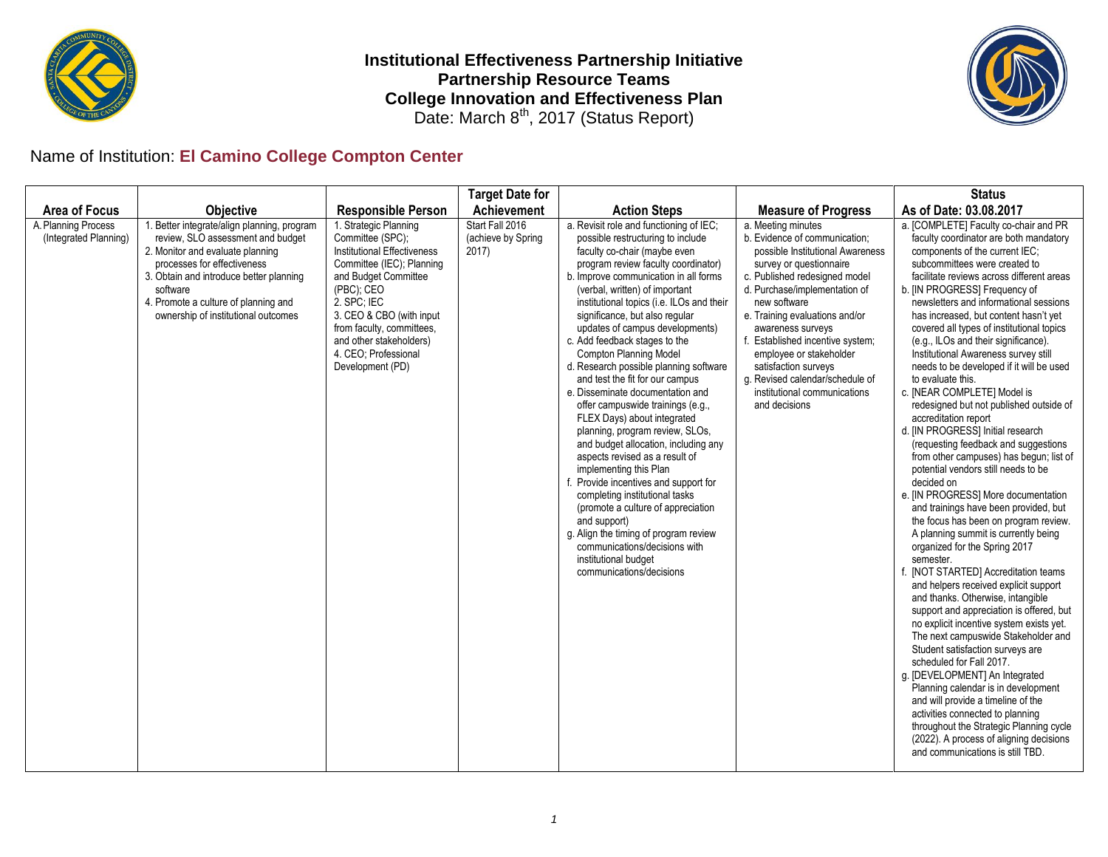

**Institutional Effectiveness Partnership Initiative Partnership Resource Teams College Innovation and Effectiveness Plan** Date: March  $8<sup>th</sup>$ , 2017 (Status Report)



## Name of Institution: **El Camino College Compton Center**

|                                              |                                                                                                                                                                                                                                                                                           |                                                                                                                                                                                                                                                                                                   | <b>Target Date for</b>                         |                                                                                                                                                                                                                                                                                                                                                                                                                                                                                                                                                                                                                                                                                                                                                                                                                                                                                                                                                                                                               |                                                                                                                                                                                                                                                                                                                                                                                                                                        | <b>Status</b>                                                                                                                                                                                                                                                                                                                                                                                                                                                                                                                                                                                                                                                                                                                                                                                                                                                                                                                                                                                                                                                                                                                                                                                                                                                                                                                                                                                                                                                                                                                                                                                                  |
|----------------------------------------------|-------------------------------------------------------------------------------------------------------------------------------------------------------------------------------------------------------------------------------------------------------------------------------------------|---------------------------------------------------------------------------------------------------------------------------------------------------------------------------------------------------------------------------------------------------------------------------------------------------|------------------------------------------------|---------------------------------------------------------------------------------------------------------------------------------------------------------------------------------------------------------------------------------------------------------------------------------------------------------------------------------------------------------------------------------------------------------------------------------------------------------------------------------------------------------------------------------------------------------------------------------------------------------------------------------------------------------------------------------------------------------------------------------------------------------------------------------------------------------------------------------------------------------------------------------------------------------------------------------------------------------------------------------------------------------------|----------------------------------------------------------------------------------------------------------------------------------------------------------------------------------------------------------------------------------------------------------------------------------------------------------------------------------------------------------------------------------------------------------------------------------------|----------------------------------------------------------------------------------------------------------------------------------------------------------------------------------------------------------------------------------------------------------------------------------------------------------------------------------------------------------------------------------------------------------------------------------------------------------------------------------------------------------------------------------------------------------------------------------------------------------------------------------------------------------------------------------------------------------------------------------------------------------------------------------------------------------------------------------------------------------------------------------------------------------------------------------------------------------------------------------------------------------------------------------------------------------------------------------------------------------------------------------------------------------------------------------------------------------------------------------------------------------------------------------------------------------------------------------------------------------------------------------------------------------------------------------------------------------------------------------------------------------------------------------------------------------------------------------------------------------------|
| <b>Area of Focus</b>                         | <b>Objective</b>                                                                                                                                                                                                                                                                          | <b>Responsible Person</b>                                                                                                                                                                                                                                                                         | <b>Achievement</b>                             | <b>Action Steps</b>                                                                                                                                                                                                                                                                                                                                                                                                                                                                                                                                                                                                                                                                                                                                                                                                                                                                                                                                                                                           | <b>Measure of Progress</b>                                                                                                                                                                                                                                                                                                                                                                                                             | As of Date: 03.08.2017                                                                                                                                                                                                                                                                                                                                                                                                                                                                                                                                                                                                                                                                                                                                                                                                                                                                                                                                                                                                                                                                                                                                                                                                                                                                                                                                                                                                                                                                                                                                                                                         |
| A. Planning Process<br>(Integrated Planning) | 1. Better integrate/align planning, program<br>review, SLO assessment and budget<br>2. Monitor and evaluate planning<br>processes for effectiveness<br>3. Obtain and introduce better planning<br>software<br>4. Promote a culture of planning and<br>ownership of institutional outcomes | 1. Strategic Planning<br>Committee (SPC);<br><b>Institutional Effectiveness</b><br>Committee (IEC); Planning<br>and Budget Committee<br>(PBC); CEO<br>2. SPC; IEC<br>3. CEO & CBO (with input<br>from faculty, committees,<br>and other stakeholders)<br>4. CEO: Professional<br>Development (PD) | Start Fall 2016<br>(achieve by Spring<br>2017) | a. Revisit role and functioning of IEC;<br>possible restructuring to include<br>faculty co-chair (maybe even<br>program review faculty coordinator)<br>b. Improve communication in all forms<br>(verbal, written) of important<br>institutional topics (i.e. ILOs and their<br>significance, but also regular<br>updates of campus developments)<br>c. Add feedback stages to the<br><b>Compton Planning Model</b><br>d. Research possible planning software<br>and test the fit for our campus<br>e. Disseminate documentation and<br>offer campuswide trainings (e.g.,<br>FLEX Days) about integrated<br>planning, program review, SLOs,<br>and budget allocation, including any<br>aspects revised as a result of<br>implementing this Plan<br>f. Provide incentives and support for<br>completing institutional tasks<br>(promote a culture of appreciation<br>and support)<br>g. Align the timing of program review<br>communications/decisions with<br>institutional budget<br>communications/decisions | a. Meeting minutes<br>b. Evidence of communication;<br>possible Institutional Awareness<br>survey or questionnaire<br>c. Published redesigned model<br>d. Purchase/implementation of<br>new software<br>e. Training evaluations and/or<br>awareness surveys<br>f. Established incentive system;<br>employee or stakeholder<br>satisfaction surveys<br>g. Revised calendar/schedule of<br>institutional communications<br>and decisions | a. [COMPLETE] Faculty co-chair and PR<br>faculty coordinator are both mandatory<br>components of the current IEC;<br>subcommittees were created to<br>facilitate reviews across different areas<br>b. [IN PROGRESS] Frequency of<br>newsletters and informational sessions<br>has increased, but content hasn't yet<br>covered all types of institutional topics<br>(e.g., ILOs and their significance).<br>Institutional Awareness survey still<br>needs to be developed if it will be used<br>to evaluate this.<br>c. [NEAR COMPLETE] Model is<br>redesigned but not published outside of<br>accreditation report<br>d. [IN PROGRESS] Initial research<br>(requesting feedback and suggestions<br>from other campuses) has begun; list of<br>potential vendors still needs to be<br>decided on<br>e. [IN PROGRESS] More documentation<br>and trainings have been provided, but<br>the focus has been on program review.<br>A planning summit is currently being<br>organized for the Spring 2017<br>semester.<br>[NOT STARTED] Accreditation teams<br>and helpers received explicit support<br>and thanks. Otherwise, intangible<br>support and appreciation is offered, but<br>no explicit incentive system exists yet.<br>The next campuswide Stakeholder and<br>Student satisfaction surveys are<br>scheduled for Fall 2017.<br>g. [DEVELOPMENT] An Integrated<br>Planning calendar is in development<br>and will provide a timeline of the<br>activities connected to planning<br>throughout the Strategic Planning cycle<br>(2022). A process of aligning decisions<br>and communications is still TBD. |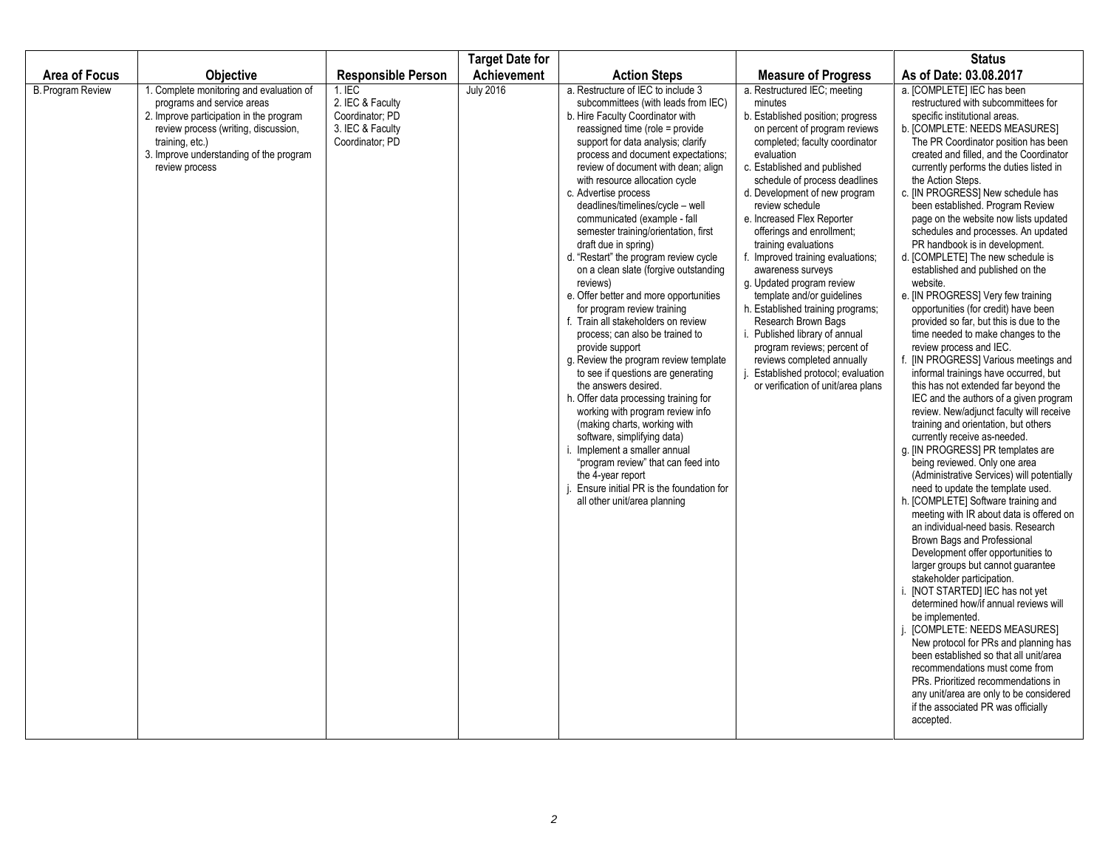|                          |                                                                                                                                                                                                                                           |                                                                                        | <b>Target Date for</b> |                                                                                                                                                                                                                                                                                                                                                                                                                                                                                                                                                                                                                                                                                                                                                                                                                                                                                                                                                                                                                                                                                                                                                                 |                                                                                                                                                                                                                                                                                                                                                                                                                                                                                                                                                                                                                                                                                                                                    | <b>Status</b>                                                                                                                                                                                                                                                                                                                                                                                                                                                                                                                                                                                                                                                                                                                                                                                                                                                                                                                                                                                                                                                                                                                                                                                                                                                                                                                                                                                                                                                                                                                                                                                                                                                                                                                                                                                                                                                             |
|--------------------------|-------------------------------------------------------------------------------------------------------------------------------------------------------------------------------------------------------------------------------------------|----------------------------------------------------------------------------------------|------------------------|-----------------------------------------------------------------------------------------------------------------------------------------------------------------------------------------------------------------------------------------------------------------------------------------------------------------------------------------------------------------------------------------------------------------------------------------------------------------------------------------------------------------------------------------------------------------------------------------------------------------------------------------------------------------------------------------------------------------------------------------------------------------------------------------------------------------------------------------------------------------------------------------------------------------------------------------------------------------------------------------------------------------------------------------------------------------------------------------------------------------------------------------------------------------|------------------------------------------------------------------------------------------------------------------------------------------------------------------------------------------------------------------------------------------------------------------------------------------------------------------------------------------------------------------------------------------------------------------------------------------------------------------------------------------------------------------------------------------------------------------------------------------------------------------------------------------------------------------------------------------------------------------------------------|---------------------------------------------------------------------------------------------------------------------------------------------------------------------------------------------------------------------------------------------------------------------------------------------------------------------------------------------------------------------------------------------------------------------------------------------------------------------------------------------------------------------------------------------------------------------------------------------------------------------------------------------------------------------------------------------------------------------------------------------------------------------------------------------------------------------------------------------------------------------------------------------------------------------------------------------------------------------------------------------------------------------------------------------------------------------------------------------------------------------------------------------------------------------------------------------------------------------------------------------------------------------------------------------------------------------------------------------------------------------------------------------------------------------------------------------------------------------------------------------------------------------------------------------------------------------------------------------------------------------------------------------------------------------------------------------------------------------------------------------------------------------------------------------------------------------------------------------------------------------------|
| <b>Area of Focus</b>     | <b>Objective</b>                                                                                                                                                                                                                          | <b>Responsible Person</b>                                                              | Achievement            | <b>Action Steps</b>                                                                                                                                                                                                                                                                                                                                                                                                                                                                                                                                                                                                                                                                                                                                                                                                                                                                                                                                                                                                                                                                                                                                             | <b>Measure of Progress</b>                                                                                                                                                                                                                                                                                                                                                                                                                                                                                                                                                                                                                                                                                                         | As of Date: 03.08.2017                                                                                                                                                                                                                                                                                                                                                                                                                                                                                                                                                                                                                                                                                                                                                                                                                                                                                                                                                                                                                                                                                                                                                                                                                                                                                                                                                                                                                                                                                                                                                                                                                                                                                                                                                                                                                                                    |
| <b>B. Program Review</b> | 1. Complete monitoring and evaluation of<br>programs and service areas<br>2. Improve participation in the program<br>review process (writing, discussion,<br>training, etc.)<br>3. Improve understanding of the program<br>review process | $1.$ IEC<br>2. IEC & Faculty<br>Coordinator; PD<br>3. IEC & Faculty<br>Coordinator; PD | <b>July 2016</b>       | a. Restructure of IEC to include 3<br>subcommittees (with leads from IEC)<br>b. Hire Faculty Coordinator with<br>reassigned time (role = provide<br>support for data analysis; clarify<br>process and document expectations;<br>review of document with dean; align<br>with resource allocation cycle<br>c. Advertise process<br>deadlines/timelines/cycle - well<br>communicated (example - fall<br>semester training/orientation, first<br>draft due in spring)<br>d. "Restart" the program review cycle<br>on a clean slate (forgive outstanding<br>reviews)<br>e. Offer better and more opportunities<br>for program review training<br>f. Train all stakeholders on review<br>process; can also be trained to<br>provide support<br>g. Review the program review template<br>to see if questions are generating<br>the answers desired.<br>h. Offer data processing training for<br>working with program review info<br>(making charts, working with<br>software, simplifying data)<br>. Implement a smaller annual<br>"program review" that can feed into<br>the 4-year report<br>Ensure initial PR is the foundation for<br>all other unit/area planning | a. Restructured IEC; meeting<br>minutes<br>b. Established position; progress<br>on percent of program reviews<br>completed; faculty coordinator<br>evaluation<br>c. Established and published<br>schedule of process deadlines<br>d. Development of new program<br>review schedule<br>e. Increased Flex Reporter<br>offerings and enrollment;<br>training evaluations<br>f. Improved training evaluations;<br>awareness surveys<br>g. Updated program review<br>template and/or quidelines<br>h. Established training programs;<br>Research Brown Bags<br>i. Published library of annual<br>program reviews; percent of<br>reviews completed annually<br>j. Established protocol; evaluation<br>or verification of unit/area plans | a. [COMPLETE] IEC has been<br>restructured with subcommittees for<br>specific institutional areas.<br>b. [COMPLETE: NEEDS MEASURES]<br>The PR Coordinator position has been<br>created and filled, and the Coordinator<br>currently performs the duties listed in<br>the Action Steps.<br>c. [IN PROGRESS] New schedule has<br>been established. Program Review<br>page on the website now lists updated<br>schedules and processes. An updated<br>PR handbook is in development.<br>d. [COMPLETE] The new schedule is<br>established and published on the<br>website.<br>e. [IN PROGRESS] Very few training<br>opportunities (for credit) have been<br>provided so far, but this is due to the<br>time needed to make changes to the<br>review process and IEC.<br>f. [IN PROGRESS] Various meetings and<br>informal trainings have occurred, but<br>this has not extended far beyond the<br>IEC and the authors of a given program<br>review. New/adjunct faculty will receive<br>training and orientation, but others<br>currently receive as-needed.<br>g. [IN PROGRESS] PR templates are<br>being reviewed. Only one area<br>(Administrative Services) will potentially<br>need to update the template used.<br>h. [COMPLETE] Software training and<br>meeting with IR about data is offered on<br>an individual-need basis. Research<br>Brown Bags and Professional<br>Development offer opportunities to<br>larger groups but cannot guarantee<br>stakeholder participation.<br>[NOT STARTED] IEC has not yet<br>determined how/if annual reviews will<br>be implemented.<br>[COMPLETE: NEEDS MEASURES]<br>New protocol for PRs and planning has<br>been established so that all unit/area<br>recommendations must come from<br>PRs. Prioritized recommendations in<br>any unit/area are only to be considered<br>if the associated PR was officially<br>accepted. |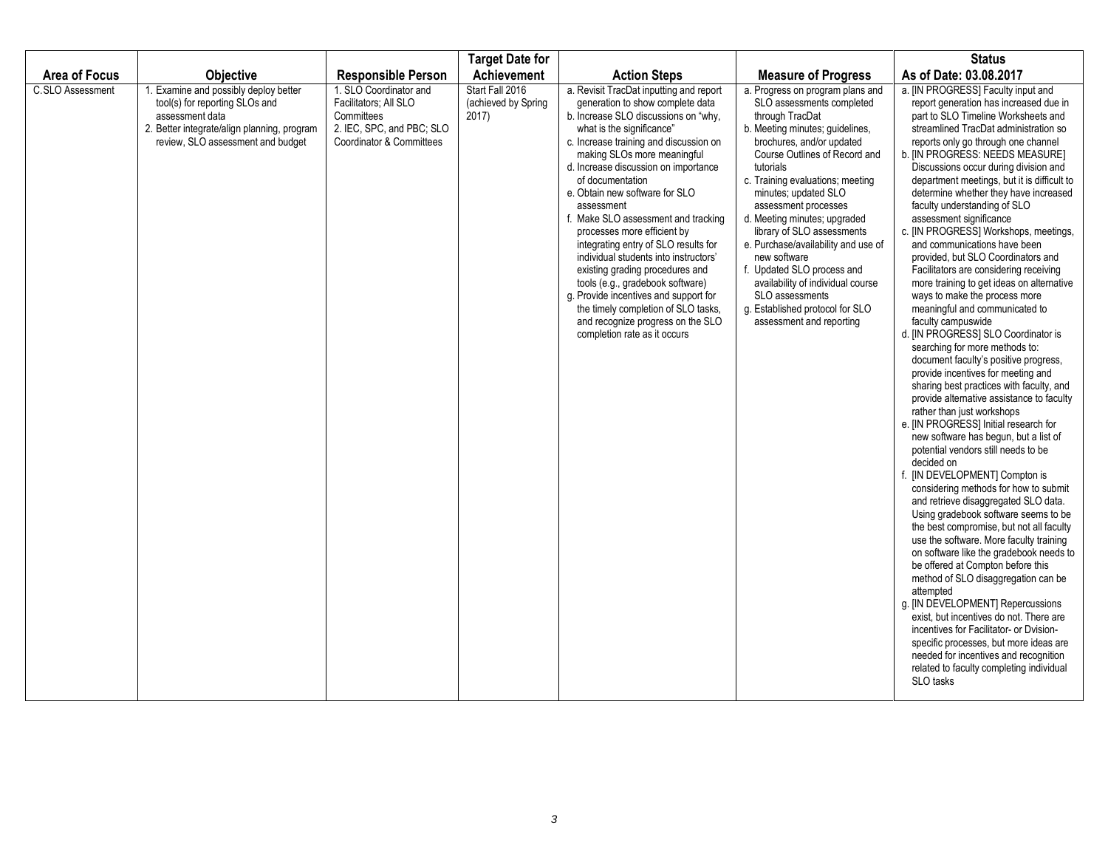|                      |                                                                                                                                                                               |                                                                                                                        | <b>Target Date for</b>                          |                                                                                                                                                                                                                                                                                                                                                                                                                                                                                                                                                                                                                                                                                                                          |                                                                                                                                                                                                                                                                                                                                                                                                                                                                                                                                                              | <b>Status</b>                                                                                                                                                                                                                                                                                                                                                                                                                                                                                                                                                                                                                                                                                                                                                                                                                                                                                                                                                                                                                                                                                                                                                                                                                                                                                                                                                                                                                                                                                                                                                                                                                                                                                                                                                                                                        |
|----------------------|-------------------------------------------------------------------------------------------------------------------------------------------------------------------------------|------------------------------------------------------------------------------------------------------------------------|-------------------------------------------------|--------------------------------------------------------------------------------------------------------------------------------------------------------------------------------------------------------------------------------------------------------------------------------------------------------------------------------------------------------------------------------------------------------------------------------------------------------------------------------------------------------------------------------------------------------------------------------------------------------------------------------------------------------------------------------------------------------------------------|--------------------------------------------------------------------------------------------------------------------------------------------------------------------------------------------------------------------------------------------------------------------------------------------------------------------------------------------------------------------------------------------------------------------------------------------------------------------------------------------------------------------------------------------------------------|----------------------------------------------------------------------------------------------------------------------------------------------------------------------------------------------------------------------------------------------------------------------------------------------------------------------------------------------------------------------------------------------------------------------------------------------------------------------------------------------------------------------------------------------------------------------------------------------------------------------------------------------------------------------------------------------------------------------------------------------------------------------------------------------------------------------------------------------------------------------------------------------------------------------------------------------------------------------------------------------------------------------------------------------------------------------------------------------------------------------------------------------------------------------------------------------------------------------------------------------------------------------------------------------------------------------------------------------------------------------------------------------------------------------------------------------------------------------------------------------------------------------------------------------------------------------------------------------------------------------------------------------------------------------------------------------------------------------------------------------------------------------------------------------------------------------|
| <b>Area of Focus</b> | <b>Objective</b>                                                                                                                                                              | <b>Responsible Person</b>                                                                                              | <b>Achievement</b>                              | <b>Action Steps</b>                                                                                                                                                                                                                                                                                                                                                                                                                                                                                                                                                                                                                                                                                                      | <b>Measure of Progress</b>                                                                                                                                                                                                                                                                                                                                                                                                                                                                                                                                   | As of Date: 03.08.2017                                                                                                                                                                                                                                                                                                                                                                                                                                                                                                                                                                                                                                                                                                                                                                                                                                                                                                                                                                                                                                                                                                                                                                                                                                                                                                                                                                                                                                                                                                                                                                                                                                                                                                                                                                                               |
| C.SLO Assessment     | . Examine and possibly deploy better<br>tool(s) for reporting SLOs and<br>assessment data<br>2. Better integrate/align planning, program<br>review, SLO assessment and budget | 1. SLO Coordinator and<br>Facilitators: All SLO<br>Committees<br>2. IEC, SPC, and PBC; SLO<br>Coordinator & Committees | Start Fall 2016<br>(achieved by Spring<br>2017) | a. Revisit TracDat inputting and report<br>generation to show complete data<br>b. Increase SLO discussions on "why,<br>what is the significance"<br>c. Increase training and discussion on<br>making SLOs more meaningful<br>d. Increase discussion on importance<br>of documentation<br>e. Obtain new software for SLO<br>assessment<br>f. Make SLO assessment and tracking<br>processes more efficient by<br>integrating entry of SLO results for<br>individual students into instructors'<br>existing grading procedures and<br>tools (e.g., gradebook software)<br>g. Provide incentives and support for<br>the timely completion of SLO tasks,<br>and recognize progress on the SLO<br>completion rate as it occurs | a. Progress on program plans and<br>SLO assessments completed<br>through TracDat<br>b. Meeting minutes; guidelines,<br>brochures, and/or updated<br>Course Outlines of Record and<br>tutorials<br>c. Training evaluations; meeting<br>minutes; updated SLO<br>assessment processes<br>d. Meeting minutes; upgraded<br>library of SLO assessments<br>e. Purchase/availability and use of<br>new software<br>f. Updated SLO process and<br>availability of individual course<br>SLO assessments<br>g. Established protocol for SLO<br>assessment and reporting | a. [IN PROGRESS] Faculty input and<br>report generation has increased due in<br>part to SLO Timeline Worksheets and<br>streamlined TracDat administration so<br>reports only go through one channel<br>b. [IN PROGRESS: NEEDS MEASURE]<br>Discussions occur during division and<br>department meetings, but it is difficult to<br>determine whether they have increased<br>faculty understanding of SLO<br>assessment significance<br>c. [IN PROGRESS] Workshops, meetings,<br>and communications have been<br>provided, but SLO Coordinators and<br>Facilitators are considering receiving<br>more training to get ideas on alternative<br>ways to make the process more<br>meaningful and communicated to<br>faculty campuswide<br>d. [IN PROGRESS] SLO Coordinator is<br>searching for more methods to:<br>document faculty's positive progress.<br>provide incentives for meeting and<br>sharing best practices with faculty, and<br>provide alternative assistance to faculty<br>rather than just workshops<br>e. [IN PROGRESS] Initial research for<br>new software has begun, but a list of<br>potential vendors still needs to be<br>decided on<br>f. [IN DEVELOPMENT] Compton is<br>considering methods for how to submit<br>and retrieve disaggregated SLO data.<br>Using gradebook software seems to be<br>the best compromise, but not all faculty<br>use the software. More faculty training<br>on software like the gradebook needs to<br>be offered at Compton before this<br>method of SLO disaggregation can be<br>attempted<br>g. [IN DEVELOPMENT] Repercussions<br>exist, but incentives do not. There are<br>incentives for Facilitator- or Dvision-<br>specific processes, but more ideas are<br>needed for incentives and recognition<br>related to faculty completing individual<br>SLO tasks |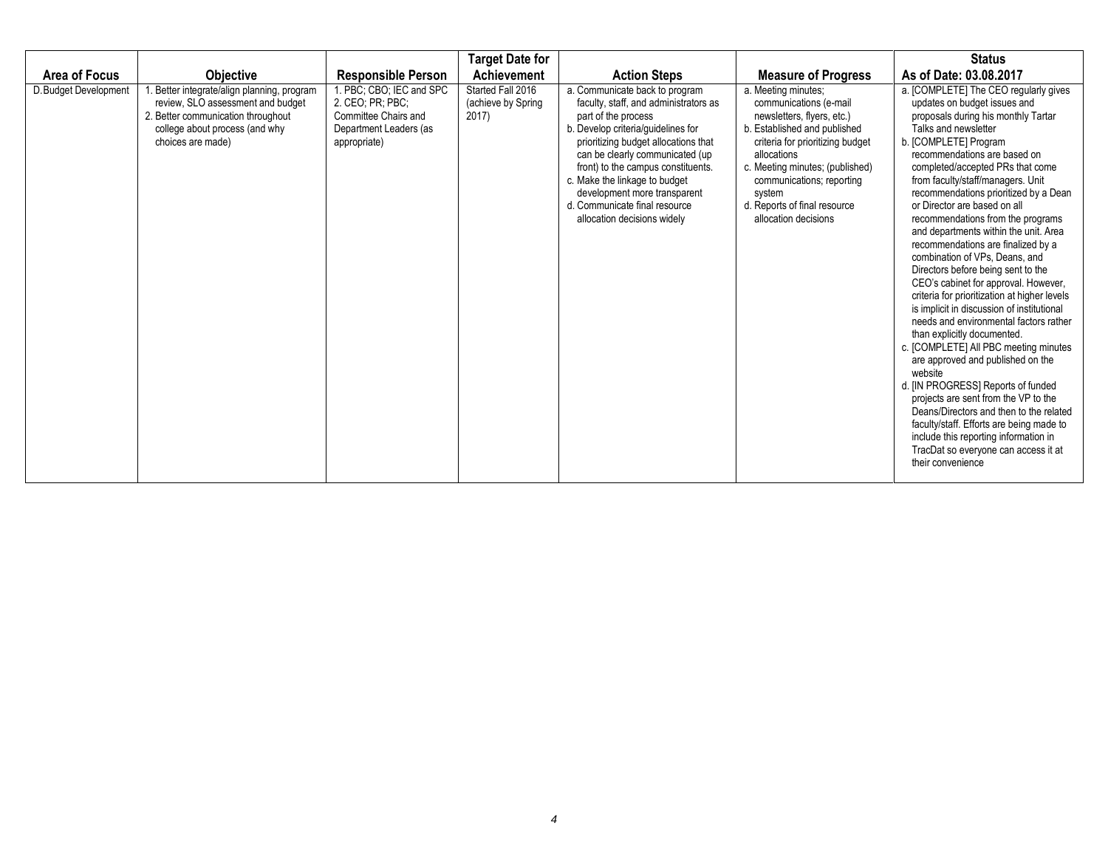|                       |                                                                                                                                                                            |                                                                                                                | <b>Target Date for</b>                           |                                                                                                                                                                                                                                                                                                                                                                                        |                                                                                                                                                                                                                                                                                                  | <b>Status</b>                                                                                                                                                                                                                                                                                                                                                                                                                                                                                                                                                                                                                                                                                                                                                                                                                                                                                                                                                                                                                                                                                                                  |
|-----------------------|----------------------------------------------------------------------------------------------------------------------------------------------------------------------------|----------------------------------------------------------------------------------------------------------------|--------------------------------------------------|----------------------------------------------------------------------------------------------------------------------------------------------------------------------------------------------------------------------------------------------------------------------------------------------------------------------------------------------------------------------------------------|--------------------------------------------------------------------------------------------------------------------------------------------------------------------------------------------------------------------------------------------------------------------------------------------------|--------------------------------------------------------------------------------------------------------------------------------------------------------------------------------------------------------------------------------------------------------------------------------------------------------------------------------------------------------------------------------------------------------------------------------------------------------------------------------------------------------------------------------------------------------------------------------------------------------------------------------------------------------------------------------------------------------------------------------------------------------------------------------------------------------------------------------------------------------------------------------------------------------------------------------------------------------------------------------------------------------------------------------------------------------------------------------------------------------------------------------|
| Area of Focus         | <b>Objective</b>                                                                                                                                                           | <b>Responsible Person</b>                                                                                      | Achievement                                      | <b>Action Steps</b>                                                                                                                                                                                                                                                                                                                                                                    | <b>Measure of Progress</b>                                                                                                                                                                                                                                                                       | As of Date: 03.08.2017                                                                                                                                                                                                                                                                                                                                                                                                                                                                                                                                                                                                                                                                                                                                                                                                                                                                                                                                                                                                                                                                                                         |
| D. Budget Development | Better integrate/align planning, program<br>review, SLO assessment and budget<br>2. Better communication throughout<br>college about process (and why<br>choices are made) | 1. PBC: CBO: IEC and SPC<br>2. CEO; PR; PBC;<br>Committee Chairs and<br>Department Leaders (as<br>appropriate) | Started Fall 2016<br>(achieve by Spring<br>2017) | a. Communicate back to program<br>faculty, staff, and administrators as<br>part of the process<br>b. Develop criteria/guidelines for<br>prioritizing budget allocations that<br>can be clearly communicated (up<br>front) to the campus constituents.<br>c. Make the linkage to budget<br>development more transparent<br>d. Communicate final resource<br>allocation decisions widely | a. Meeting minutes;<br>communications (e-mail<br>newsletters, flyers, etc.)<br>b. Established and published<br>criteria for prioritizing budget<br>allocations<br>c. Meeting minutes; (published)<br>communications; reporting<br>system<br>d. Reports of final resource<br>allocation decisions | a. [COMPLETE] The CEO regularly gives<br>updates on budget issues and<br>proposals during his monthly Tartar<br>Talks and newsletter<br>b. [COMPLETE] Program<br>recommendations are based on<br>completed/accepted PRs that come<br>from faculty/staff/managers. Unit<br>recommendations prioritized by a Dean<br>or Director are based on all<br>recommendations from the programs<br>and departments within the unit. Area<br>recommendations are finalized by a<br>combination of VPs. Deans, and<br>Directors before being sent to the<br>CEO's cabinet for approval. However,<br>criteria for prioritization at higher levels<br>is implicit in discussion of institutional<br>needs and environmental factors rather<br>than explicitly documented.<br>c. [COMPLETE] All PBC meeting minutes<br>are approved and published on the<br>website<br>d. [IN PROGRESS] Reports of funded<br>projects are sent from the VP to the<br>Deans/Directors and then to the related<br>faculty/staff. Efforts are being made to<br>include this reporting information in<br>TracDat so everyone can access it at<br>their convenience |